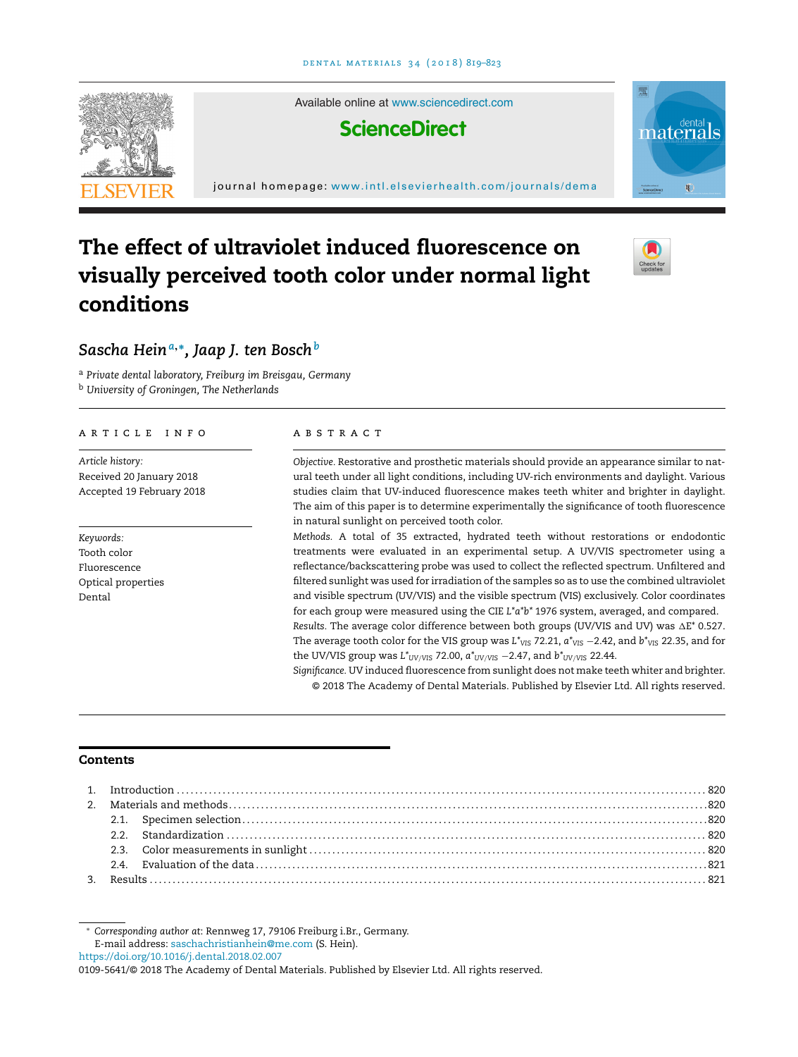

# **The effect of ultraviolet induced fluorescence on visually perceived tooth color under normal light conditions**



# *Sascha Hein<sup>a</sup>***,∗***, Jaap J. ten Bosch<sup>b</sup>*

<sup>a</sup> *Private dental laboratory, Freiburg im Breisgau, Germany* <sup>b</sup> *University of Groningen, The Netherlands*

#### a r t i c l e i n f o

*Article history:* Received 20 January 2018 Accepted 19 February 2018

*Keywords:* Tooth color Fluorescence Optical properties Dental

## a b s t r a c t

*Objective.* Restorative and prosthetic materials should provide an appearance similar to natural teeth under all light conditions, including UV-rich environments and daylight. Various studies claim that UV-induced fluorescence makes teeth whiter and brighter in daylight. The aim of this paper is to determine experimentally the significance of tooth fluorescence in natural sunlight on perceived tooth color.

*Methods.* A total of 35 extracted, hydrated teeth without restorations or endodontic treatments were evaluated in an experimental setup. A UV/VIS spectrometer using a reflectance/backscattering probe was used to collect the reflected spectrum. Unfiltered and filtered sunlight was used for irradiation of the samples so as to use the combined ultraviolet and visible spectrum (UV/VIS) and the visible spectrum (VIS) exclusively. Color coordinates for each group were measured using the CIE *L\*a\*b\** 1976 system, averaged, and compared. Results. The average color difference between both groups (UV/VIS and UV) was  $\Delta \textsf{E}^{*}$  0.527. The average tooth color for the VIS group was *L*<sup>\*</sup>VIS</sup> 72.21,  $a$ <sup>\*</sup>VIS</sub> −2.42, and  $b$ <sup>\*</sup>VIS</sub> 22.35, and for the UV/VIS group was *L*<sup>\*</sup>UV/VIS 72.00,  $a$ <sup>\*</sup>UV/VIS −2.47, and  $b$ <sup>\*</sup>UV/VIS 22.44.

*Significance.* UV induced fluorescence from sunlight does not make teeth whiter and brighter. © 2018 The Academy of Dental Materials. Published by Elsevier Ltd. All rights reserved.

# **Contents**

∗ *Corresponding author at*: Rennweg 17, 79106 Freiburg i.Br., Germany. E-mail address: [saschachristianhein@me.com](mailto:saschachristianhein@me.com) (S. Hein).

<https://doi.org/10.1016/j.dental.2018.02.007>

<sup>0109-5641/©</sup> 2018 The Academy of Dental Materials. Published by Elsevier Ltd. All rights reserved.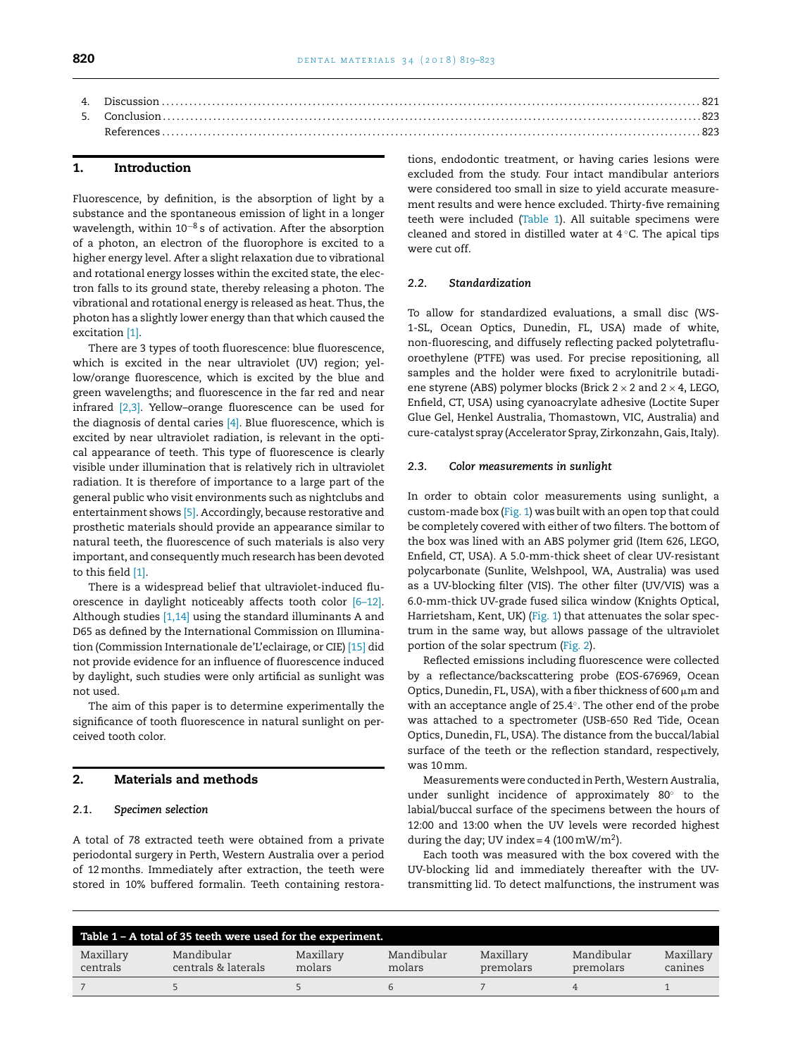# **1. Introduction**

Fluorescence, by definition, is the absorption of light by a substance and the spontaneous emission of light in a longer wavelength, within 10<sup>-8</sup> s of activation. After the absorption of a photon, an electron of the fluorophore is excited to a higher energy level. After a slight relaxation due to vibrational and rotational energy losses within the excited state, the electron falls to its ground state, thereby releasing a photon. The vibrational and rotational energy is released as heat. Thus, the photon has a slightly lower energy than that which caused the excitation [\[1\].](#page-4-0)

There are 3 types of tooth fluorescence: blue fluorescence, which is excited in the near ultraviolet (UV) region; yellow/orange fluorescence, which is excited by the blue and green wavelengths; and fluorescence in the far red and near infrared [\[2,3\].](#page-4-0) Yellow–orange fluorescence can be used for the diagnosis of dental caries  $[4]$ . Blue fluorescence, which is excited by near ultraviolet radiation, is relevant in the optical appearance of teeth. This type of fluorescence is clearly visible under illumination that is relatively rich in ultraviolet radiation. It is therefore of importance to a large part of the general public who visit environments such as nightclubs and entertainment shows [\[5\].](#page-4-0) Accordingly, because restorative and prosthetic materials should provide an appearance similar to natural teeth, the fluorescence of such materials is also very important, and consequently much research has been devoted to this field [\[1\].](#page-4-0)

There is a widespread belief that ultraviolet-induced fluorescence in daylight noticeably affects tooth color [\[6–12\].](#page-4-0) Although studies [\[1,14\]](#page-4-0) using the standard illuminants A and D65 as defined by the International Commission on Illumination (Commission Internationale de'L'eclairage, or CIE) [\[15\]](#page-4-0) did not provide evidence for an influence of fluorescence induced by daylight, such studies were only artificial as sunlight was not used.

The aim of this paper is to determine experimentally the significance of tooth fluorescence in natural sunlight on perceived tooth color.

#### **2. Materials and methods**

#### *2.1. Specimen selection*

A total of 78 extracted teeth were obtained from a private periodontal surgery in Perth, Western Australia over a period of 12months. Immediately after extraction, the teeth were stored in 10% buffered formalin. Teeth containing restorations, endodontic treatment, or having caries lesions were excluded from the study. Four intact mandibular anteriors were considered too small in size to yield accurate measurement results and were hence excluded. Thirty-five remaining teeth were included (Table 1). All suitable specimens were cleaned and stored in distilled water at 4 ◦C. The apical tips were cut off.

## *2.2. Standardization*

To allow for standardized evaluations, a small disc (WS-1-SL, Ocean Optics, Dunedin, FL, USA) made of white, non-fluorescing, and diffusely reflecting packed polytetrafluoroethylene (PTFE) was used. For precise repositioning, all samples and the holder were fixed to acrylonitrile butadiene styrene (ABS) polymer blocks (Brick  $2 \times 2$  and  $2 \times 4$ , LEGO, Enfield, CT, USA) using cyanoacrylate adhesive (Loctite Super Glue Gel, Henkel Australia, Thomastown, VIC, Australia) and cure-catalyst spray (Accelerator Spray, Zirkonzahn, Gais, Italy).

## *2.3. Color measurements in sunlight*

In order to obtain color measurements using sunlight, a custom-made box [\(Fig.](#page-2-0) 1) was built with an open top that could be completely covered with either of two filters. The bottom of the box was lined with an ABS polymer grid (Item 626, LEGO, Enfield, CT, USA). A 5.0-mm-thick sheet of clear UV-resistant polycarbonate (Sunlite, Welshpool, WA, Australia) was used as a UV-blocking filter (VIS). The other filter (UV/VIS) was a 6.0-mm-thick UV-grade fused silica window (Knights Optical, Harrietsham, Kent, UK) ([Fig.](#page-2-0) 1) that attenuates the solar spectrum in the same way, but allows passage of the ultraviolet portion of the solar spectrum ([Fig.](#page-2-0) 2).

Reflected emissions including fluorescence were collected by a reflectance/backscattering probe (EOS-676969, Ocean Optics, Dunedin, FL, USA), with a fiber thickness of 600  $\mu$ m and with an acceptance angle of 25.4◦. The other end of the probe was attached to a spectrometer (USB-650 Red Tide, Ocean Optics, Dunedin, FL, USA). The distance from the buccal/labial surface of the teeth or the reflection standard, respectively, was 10mm.

Measurements were conducted in Perth,Western Australia, under sunlight incidence of approximately 80◦ to the labial/buccal surface of the specimens between the hours of 12:00 and 13:00 when the UV levels were recorded highest during the day; UV index = 4 (100 mW/m<sup>2</sup>).

Each tooth was measured with the box covered with the UV-blocking lid and immediately thereafter with the UVtransmitting lid. To detect malfunctions, the instrument was

| Table 1 - A total of 35 teeth were used for the experiment. |                                   |                     |                      |                        |                         |                      |  |  |  |
|-------------------------------------------------------------|-----------------------------------|---------------------|----------------------|------------------------|-------------------------|----------------------|--|--|--|
| Maxillary<br>centrals                                       | Mandibular<br>centrals & laterals | Maxillary<br>molars | Mandibular<br>molars | Maxillary<br>premolars | Mandibular<br>premolars | Maxillary<br>canines |  |  |  |
|                                                             |                                   |                     |                      |                        |                         |                      |  |  |  |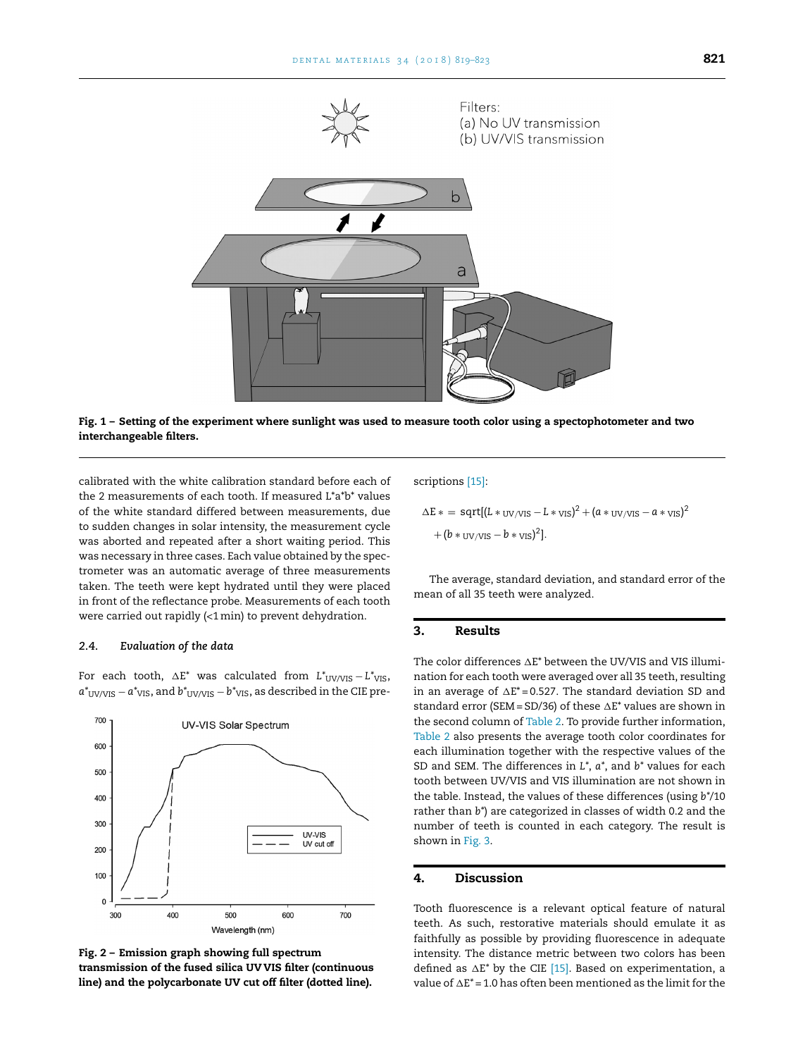<span id="page-2-0"></span>

Fig. 1 - Setting of the experiment where sunlight was used to measure tooth color using a spectophotometer and two **interchangeable filters.**

calibrated with the white calibration standard before each of the 2 measurements of each tooth. If measured L\*a\*b\* values of the white standard differed between measurements, due to sudden changes in solar intensity, the measurement cycle was aborted and repeated after a short waiting period. This was necessary in three cases. Each value obtained by the spectrometer was an automatic average of three measurements taken. The teeth were kept hydrated until they were placed in front of the reflectance probe. Measurements of each tooth were carried out rapidly (<1min) to prevent dehydration.

#### *2.4. Evaluation of the data*

For each tooth, ∆E\* was calculated from  $L^*_{\ \ UV/VIS} - L^*_{\ \ VIS}$ ,  $a^*$ <sub>UV/VIS</sub> −  $a^*$ <sub>VIS</sub>, and  $b^*$ <sub>UV/VIS</sub> −  $b^*$ <sub>VIS</sub>, as described in the CIE pre-





scriptions [\[15\]:](#page-4-0)

$$
\Delta E * = \text{sqrt}[(L * \text{uv/vrs} - L * \text{vrs})^2 + (a * \text{uv/vrs} - a * \text{vrs})^2
$$

$$
+ (b * \text{uv/vrs} - b * \text{vrs})^2].
$$

The average, standard deviation, and standard error of the mean of all 35 teeth were analyzed.

## **3. Results**

The color differences  $\Delta \text{E}^*$  between the UV/VIS and VIS illumination for each tooth were averaged over all 35 teeth, resulting in an average of  $\Delta \text{E}^*$ =0.527. The standard deviation SD and standard error (SEM = SD/36) of these  $\Delta E^*$  values are shown in the second column of [Table](#page-3-0) 2. To provide further information, [Table](#page-3-0) 2 also presents the average tooth color coordinates for each illumination together with the respective values of the SD and SEM. The differences in *L\**, *a\**, and *b\** values for each tooth between UV/VIS and VIS illumination are not shown in the table. Instead, the values of these differences (using *b\**/10 rather than *b\**) are categorized in classes of width 0.2 and the number of teeth is counted in each category. The result is shown in [Fig.](#page-3-0) 3.

# **4. Discussion**

Tooth fluorescence is a relevant optical feature of natural teeth. As such, restorative materials should emulate it as faithfully as possible by providing fluorescence in adequate intensity. The distance metric between two colors has been defined as  $\Delta E^*$  by the CIE [\[15\].](#page-4-0) Based on experimentation, a value of  $\Delta E^*$  = 1.0 has often been mentioned as the limit for the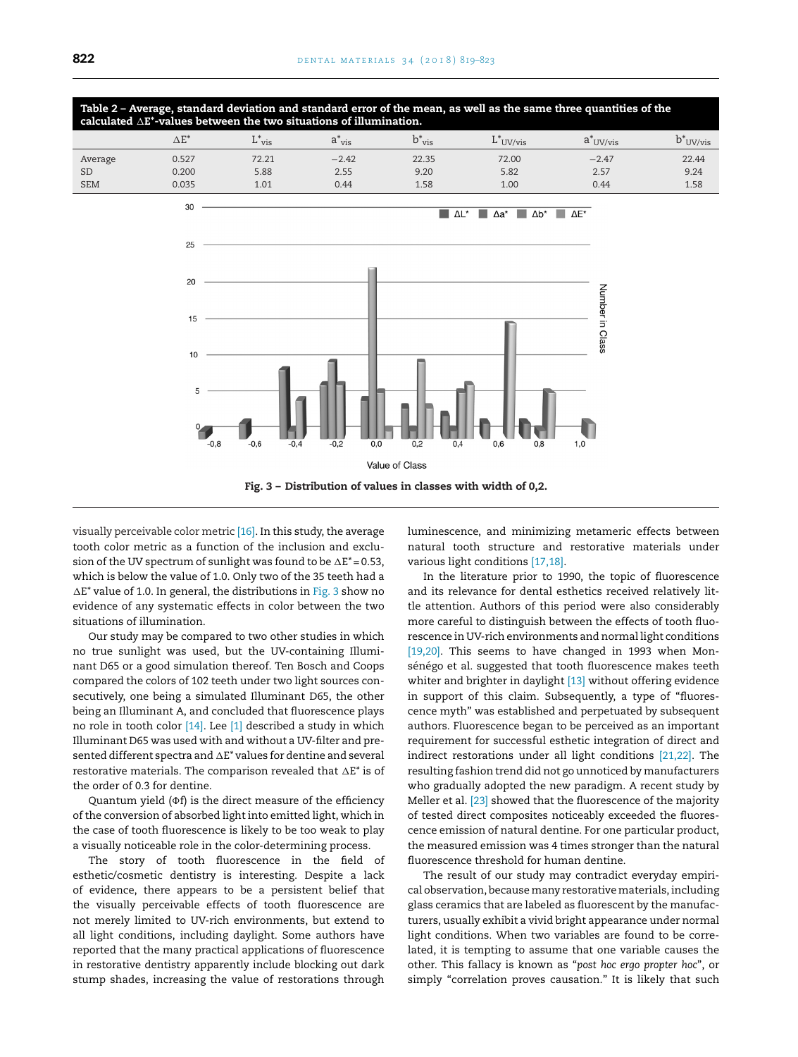<span id="page-3-0"></span>Table 2 - Average, standard deviation and standard error of the mean, as well as the same three quantities of the **calculated** -**E\*-values between the two situations of illumination.**

|            | $\Delta E^*$ | $-$ vis | $a$ vis | $\overline{v}$ vis | $L$ UV/vis | a UV/vis | $b^*$ UV/vis |
|------------|--------------|---------|---------|--------------------|------------|----------|--------------|
| Average    | 0.527        | 72.21   | $-2.42$ | 22.35              | 72.00      | $-2.47$  | 22.44        |
| <b>SD</b>  | 0.200        | 5.88    | 2.55    | 9.20               | 5.82       | 2.57     | 9.24         |
| <b>SEM</b> | 0.035        | 1.01    | 0.44    | 1.58               | 1.00       | 0.44     | 1.58         |



visually perceivable color metric [\[16\].](#page-4-0) In this study, the average tooth color metric as a function of the inclusion and exclusion of the UV spectrum of sunlight was found to be  $\Delta \text{E}^*$  = 0.53, which is below the value of 1.0. Only two of the 35 teeth had a -E*\** value of 1.0. In general, the distributions in Fig. 3 show no evidence of any systematic effects in color between the two situations of illumination.

Our study may be compared to two other studies in which no true sunlight was used, but the UV-containing Illuminant D65 or a good simulation thereof. Ten Bosch and Coops compared the colors of 102 teeth under two light sources consecutively, one being a simulated Illuminant D65, the other being an Illuminant A, and concluded that fluorescence plays no role in tooth color [\[14\].](#page-4-0) Lee [\[1\]](#page-4-0) described a study in which Illuminant D65 was used with and without a UV-filter and presented different spectra and  $\Delta \texttt{E}^*$  values for dentine and several restorative materials. The comparison revealed that -E*\** is of the order of 0.3 for dentine.

Quantum yield  $(\Phi f)$  is the direct measure of the efficiency of the conversion of absorbed light into emitted light, which in the case of tooth fluorescence is likely to be too weak to play a visually noticeable role in the color-determining process.

The story of tooth fluorescence in the field of esthetic/cosmetic dentistry is interesting. Despite a lack of evidence, there appears to be a persistent belief that the visually perceivable effects of tooth fluorescence are not merely limited to UV-rich environments, but extend to all light conditions, including daylight. Some authors have reported that the many practical applications of fluorescence in restorative dentistry apparently include blocking out dark stump shades, increasing the value of restorations through

luminescence, and minimizing metameric effects between natural tooth structure and restorative materials under various light conditions [\[17,18\].](#page-4-0)

In the literature prior to 1990, the topic of fluorescence and its relevance for dental esthetics received relatively little attention. Authors of this period were also considerably more careful to distinguish between the effects of tooth fluorescence in UV-rich environments and normal light conditions [\[19,20\].](#page-4-0) This seems to have changed in 1993 when Monsénégo et al. suggested that tooth fluorescence makes teeth whiter and brighter in daylight [\[13\]](#page-4-0) without offering evidence in support of this claim. Subsequently, a type of "fluorescence myth" was established and perpetuated by subsequent authors. Fluorescence began to be perceived as an important requirement for successful esthetic integration of direct and indirect restorations under all light conditions [\[21,22\].](#page-4-0) The resulting fashion trend did not go unnoticed by manufacturers who gradually adopted the new paradigm. A recent study by Meller et al. [\[23\]](#page-4-0) showed that the fluorescence of the majority of tested direct composites noticeably exceeded the fluorescence emission of natural dentine. For one particular product, the measured emission was 4 times stronger than the natural fluorescence threshold for human dentine.

The result of our study may contradict everyday empirical observation, because many restorative materials, including glass ceramics that are labeled as fluorescent by the manufacturers, usually exhibit a vivid bright appearance under normal light conditions. When two variables are found to be correlated, it is tempting to assume that one variable causes the other. This fallacy is known as "*post hoc ergo propter hoc*", or simply "correlation proves causation." It is likely that such